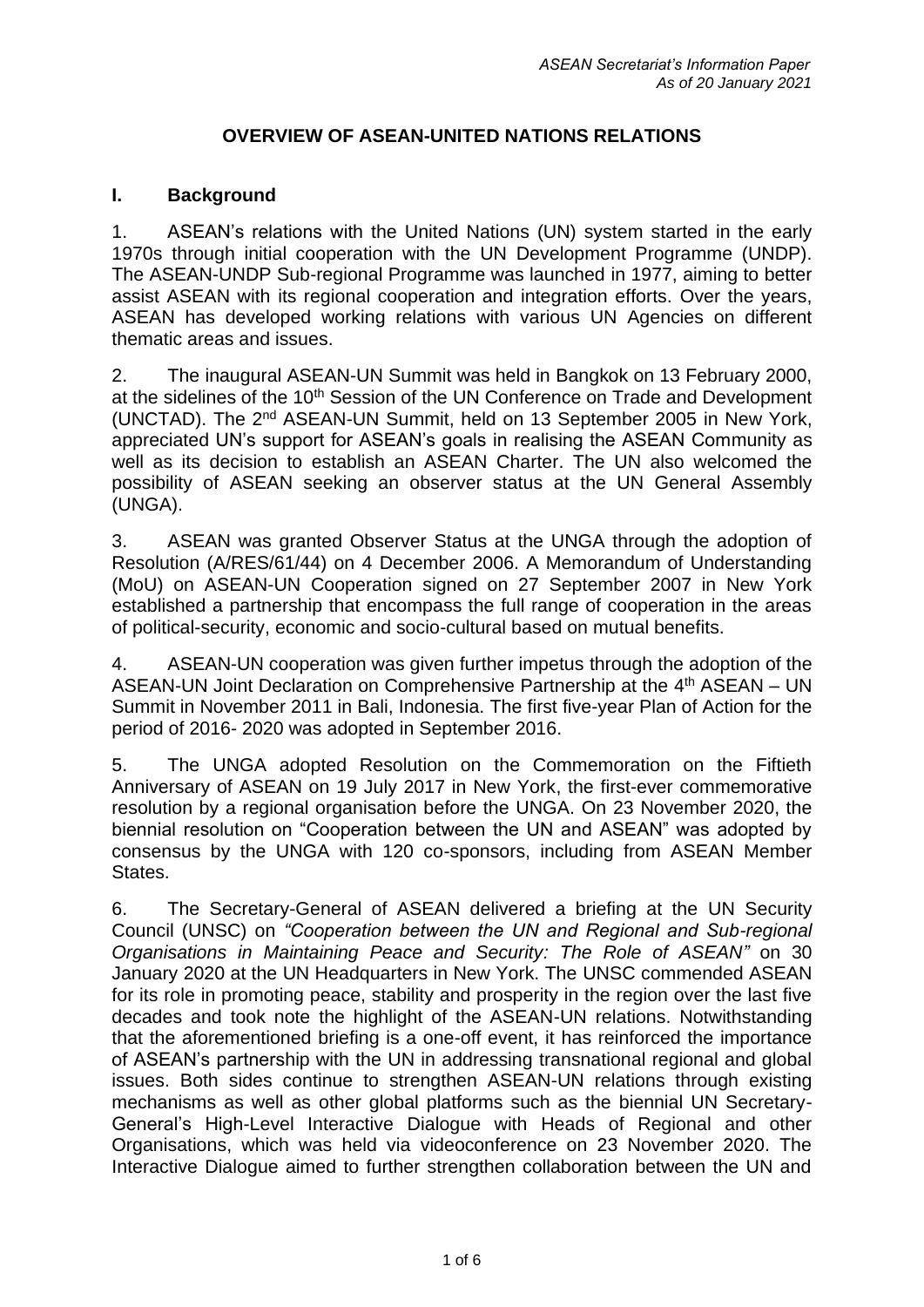# **OVERVIEW OF ASEAN-UNITED NATIONS RELATIONS**

# **I. Background**

1. ASEAN's relations with the United Nations (UN) system started in the early 1970s through initial cooperation with the UN Development Programme (UNDP). The ASEAN-UNDP Sub-regional Programme was launched in 1977, aiming to better assist ASEAN with its regional cooperation and integration efforts. Over the years, ASEAN has developed working relations with various UN Agencies on different thematic areas and issues.

2. The inaugural ASEAN-UN Summit was held in Bangkok on 13 February 2000, at the sidelines of the 10<sup>th</sup> Session of the UN Conference on Trade and Development (UNCTAD). The 2<sup>nd</sup> ASEAN-UN Summit, held on 13 September 2005 in New York, appreciated UN's support for ASEAN's goals in realising the ASEAN Community as well as its decision to establish an ASEAN Charter. The UN also welcomed the possibility of ASEAN seeking an observer status at the UN General Assembly (UNGA).

3. ASEAN was granted Observer Status at the UNGA through the adoption of Resolution (A/RES/61/44) on 4 December 2006. A Memorandum of Understanding (MoU) on ASEAN-UN Cooperation signed on 27 September 2007 in New York established a partnership that encompass the full range of cooperation in the areas of political-security, economic and socio-cultural based on mutual benefits.

4. ASEAN-UN cooperation was given further impetus through the adoption of the ASEAN-UN Joint Declaration on Comprehensive Partnership at the 4<sup>th</sup> ASEAN – UN Summit in November 2011 in Bali, Indonesia. The first five-year Plan of Action for the period of 2016- 2020 was adopted in September 2016.

5. The UNGA adopted Resolution on the Commemoration on the Fiftieth Anniversary of ASEAN on 19 July 2017 in New York, the first-ever commemorative resolution by a regional organisation before the UNGA. On 23 November 2020, the biennial resolution on "Cooperation between the UN and ASEAN" was adopted by consensus by the UNGA with 120 co-sponsors, including from ASEAN Member States.

6. The Secretary-General of ASEAN delivered a briefing at the UN Security Council (UNSC) on *"Cooperation between the UN and Regional and Sub-regional Organisations in Maintaining Peace and Security: The Role of ASEAN"* on 30 January 2020 at the UN Headquarters in New York. The UNSC commended ASEAN for its role in promoting peace, stability and prosperity in the region over the last five decades and took note the highlight of the ASEAN-UN relations. Notwithstanding that the aforementioned briefing is a one-off event, it has reinforced the importance of ASEAN's partnership with the UN in addressing transnational regional and global issues. Both sides continue to strengthen ASEAN-UN relations through existing mechanisms as well as other global platforms such as the biennial UN Secretary-General's High-Level Interactive Dialogue with Heads of Regional and other Organisations, which was held via videoconference on 23 November 2020. The Interactive Dialogue aimed to further strengthen collaboration between the UN and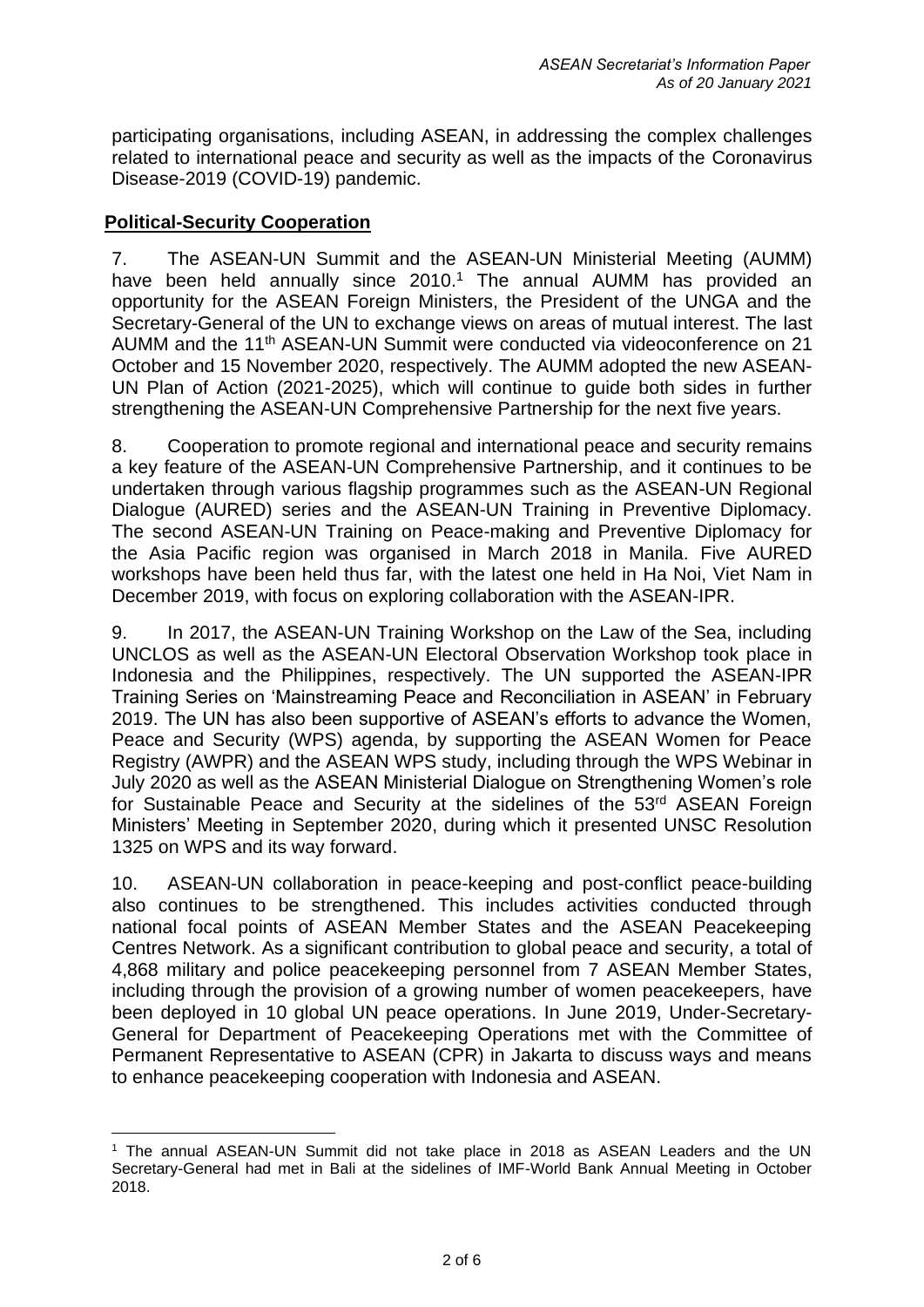participating organisations, including ASEAN, in addressing the complex challenges related to international peace and security as well as the impacts of the Coronavirus Disease-2019 (COVID-19) pandemic.

# **Political-Security Cooperation**

7. The ASEAN-UN Summit and the ASEAN-UN Ministerial Meeting (AUMM) have been held annually since  $2010<sup>1</sup>$ . The annual AUMM has provided an opportunity for the ASEAN Foreign Ministers, the President of the UNGA and the Secretary-General of the UN to exchange views on areas of mutual interest. The last AUMM and the 11th ASEAN-UN Summit were conducted via videoconference on 21 October and 15 November 2020, respectively. The AUMM adopted the new ASEAN-UN Plan of Action (2021-2025), which will continue to guide both sides in further strengthening the ASEAN-UN Comprehensive Partnership for the next five years.

8. Cooperation to promote regional and international peace and security remains a key feature of the ASEAN-UN Comprehensive Partnership, and it continues to be undertaken through various flagship programmes such as the ASEAN-UN Regional Dialogue (AURED) series and the ASEAN-UN Training in Preventive Diplomacy. The second ASEAN-UN Training on Peace-making and Preventive Diplomacy for the Asia Pacific region was organised in March 2018 in Manila. Five AURED workshops have been held thus far, with the latest one held in Ha Noi, Viet Nam in December 2019, with focus on exploring collaboration with the ASEAN-IPR.

9. In 2017, the ASEAN-UN Training Workshop on the Law of the Sea, including UNCLOS as well as the ASEAN-UN Electoral Observation Workshop took place in Indonesia and the Philippines, respectively. The UN supported the ASEAN-IPR Training Series on 'Mainstreaming Peace and Reconciliation in ASEAN' in February 2019. The UN has also been supportive of ASEAN's efforts to advance the Women, Peace and Security (WPS) agenda, by supporting the ASEAN Women for Peace Registry (AWPR) and the ASEAN WPS study, including through the WPS Webinar in July 2020 as well as the ASEAN Ministerial Dialogue on Strengthening Women's role for Sustainable Peace and Security at the sidelines of the 53<sup>rd</sup> ASEAN Foreign Ministers' Meeting in September 2020, during which it presented UNSC Resolution 1325 on WPS and its way forward.

10. ASEAN-UN collaboration in peace-keeping and post-conflict peace-building also continues to be strengthened. This includes activities conducted through national focal points of ASEAN Member States and the ASEAN Peacekeeping Centres Network. As a significant contribution to global peace and security, a total of 4,868 military and police peacekeeping personnel from 7 ASEAN Member States, including through the provision of a growing number of women peacekeepers, have been deployed in 10 global UN peace operations. In June 2019, Under-Secretary-General for Department of Peacekeeping Operations met with the Committee of Permanent Representative to ASEAN (CPR) in Jakarta to discuss ways and means to enhance peacekeeping cooperation with Indonesia and ASEAN.

<sup>1</sup> The annual ASEAN-UN Summit did not take place in 2018 as ASEAN Leaders and the UN Secretary-General had met in Bali at the sidelines of IMF-World Bank Annual Meeting in October 2018.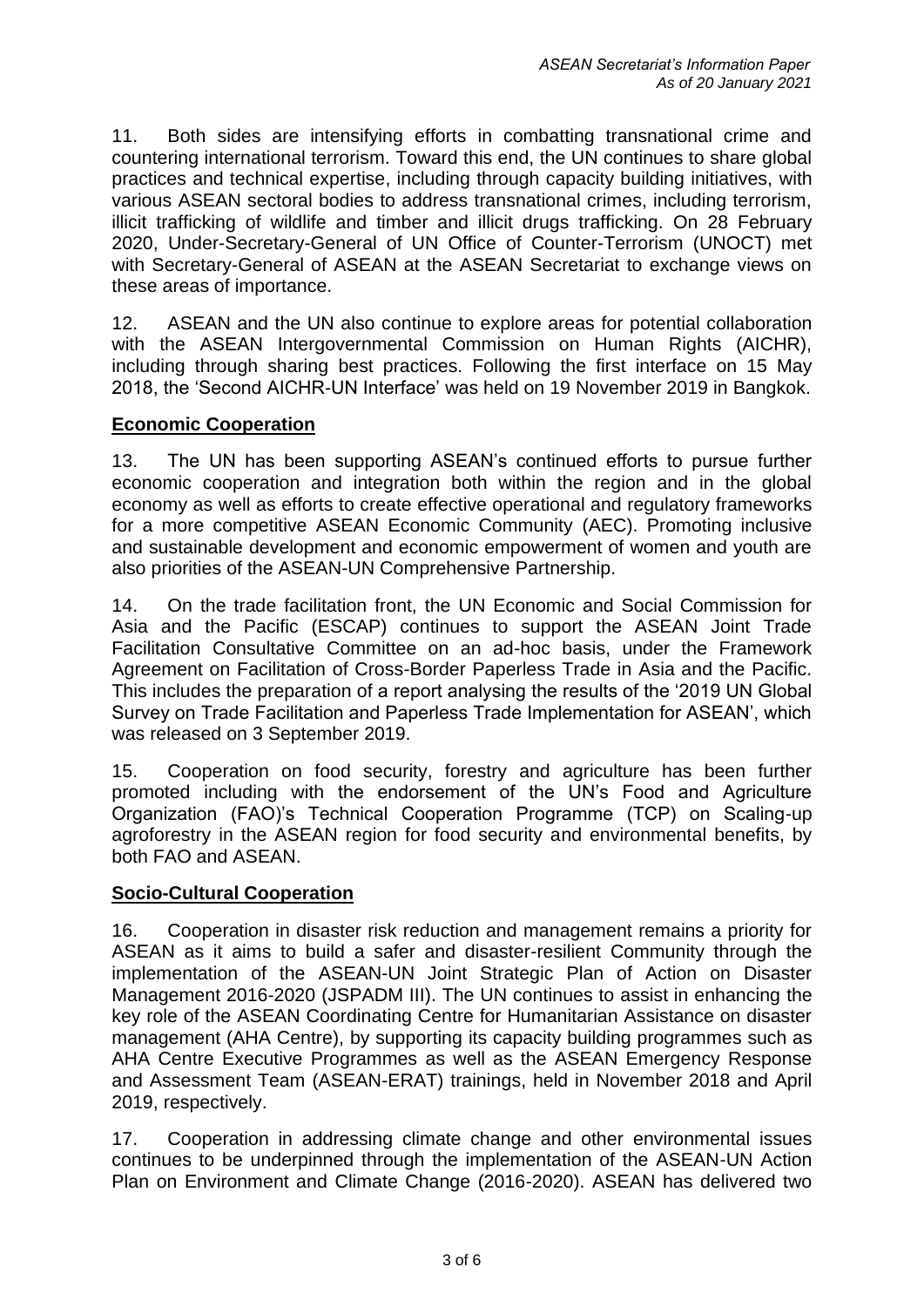11. Both sides are intensifying efforts in combatting transnational crime and countering international terrorism. Toward this end, the UN continues to share global practices and technical expertise, including through capacity building initiatives, with various ASEAN sectoral bodies to address transnational crimes, including terrorism, illicit trafficking of wildlife and timber and illicit drugs trafficking. On 28 February 2020, Under-Secretary-General of UN Office of Counter-Terrorism (UNOCT) met with Secretary-General of ASEAN at the ASEAN Secretariat to exchange views on these areas of importance.

12. ASEAN and the UN also continue to explore areas for potential collaboration with the ASEAN Intergovernmental Commission on Human Rights (AICHR), including through sharing best practices. Following the first interface on 15 May 2018, the 'Second AICHR-UN Interface' was held on 19 November 2019 in Bangkok.

# **Economic Cooperation**

13. The UN has been supporting ASEAN's continued efforts to pursue further economic cooperation and integration both within the region and in the global economy as well as efforts to create effective operational and regulatory frameworks for a more competitive ASEAN Economic Community (AEC). Promoting inclusive and sustainable development and economic empowerment of women and youth are also priorities of the ASEAN-UN Comprehensive Partnership.

14. On the trade facilitation front, the UN Economic and Social Commission for Asia and the Pacific (ESCAP) continues to support the ASEAN Joint Trade Facilitation Consultative Committee on an ad-hoc basis, under the Framework Agreement on Facilitation of Cross-Border Paperless Trade in Asia and the Pacific. This includes the preparation of a report analysing the results of the '2019 UN Global Survey on Trade Facilitation and Paperless Trade Implementation for ASEAN', which was released on 3 September 2019.

15. Cooperation on food security, forestry and agriculture has been further promoted including with the endorsement of the UN's Food and Agriculture Organization (FAO)'s Technical Cooperation Programme (TCP) on Scaling-up agroforestry in the ASEAN region for food security and environmental benefits, by both FAO and ASEAN.

### **Socio-Cultural Cooperation**

16. Cooperation in disaster risk reduction and management remains a priority for ASEAN as it aims to build a safer and disaster-resilient Community through the implementation of the ASEAN-UN Joint Strategic Plan of Action on Disaster Management 2016-2020 (JSPADM III). The UN continues to assist in enhancing the key role of the ASEAN Coordinating Centre for Humanitarian Assistance on disaster management (AHA Centre), by supporting its capacity building programmes such as AHA Centre Executive Programmes as well as the ASEAN Emergency Response and Assessment Team (ASEAN-ERAT) trainings, held in November 2018 and April 2019, respectively.

17. Cooperation in addressing climate change and other environmental issues continues to be underpinned through the implementation of the ASEAN-UN Action Plan on Environment and Climate Change (2016-2020). ASEAN has delivered two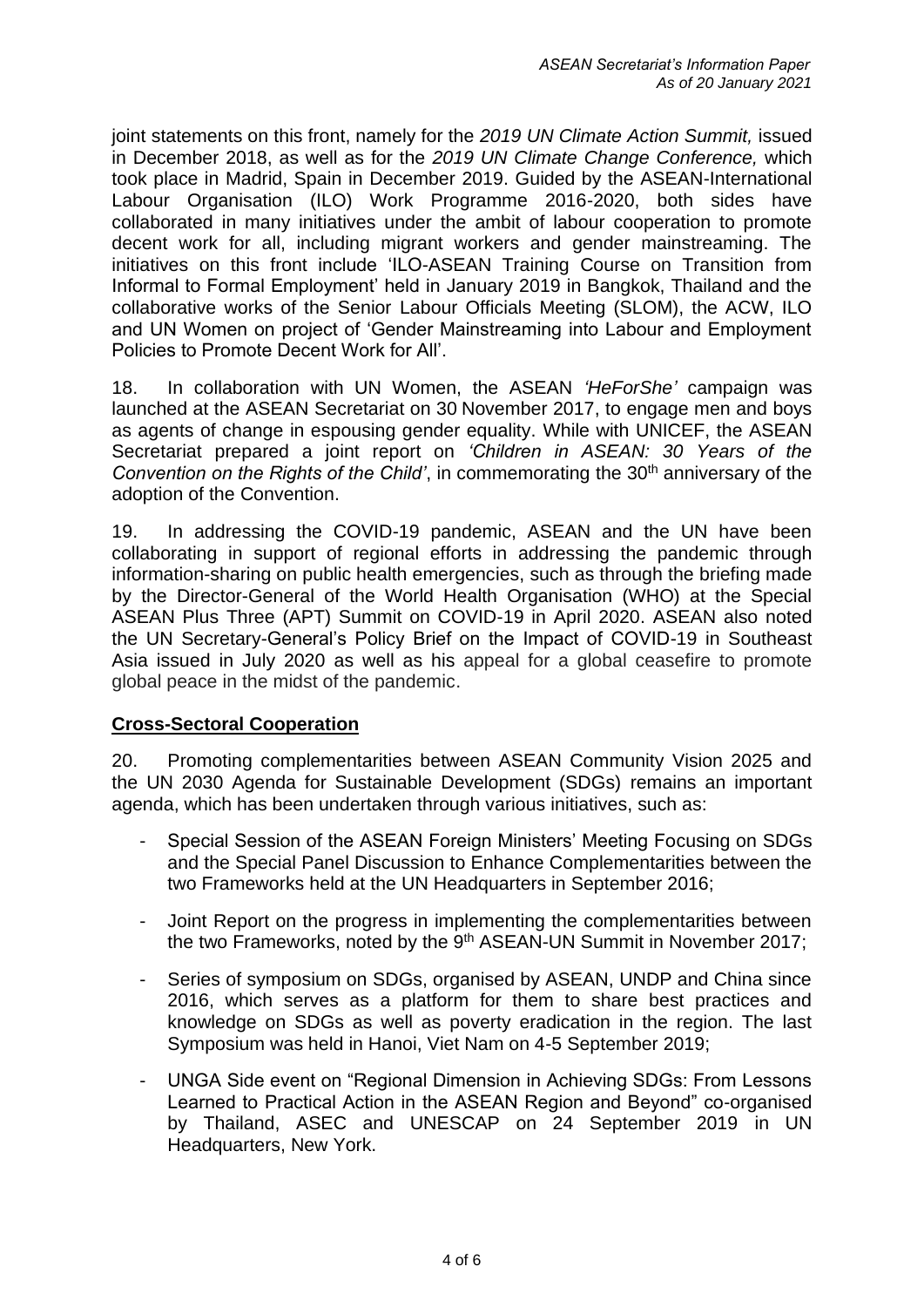joint statements on this front, namely for the *2019 UN Climate Action Summit,* issued in December 2018, as well as for the *2019 UN Climate Change Conference,* which took place in Madrid, Spain in December 2019. Guided by the ASEAN-International Labour Organisation (ILO) Work Programme 2016-2020, both sides have collaborated in many initiatives under the ambit of labour cooperation to promote decent work for all, including migrant workers and gender mainstreaming. The initiatives on this front include 'ILO-ASEAN Training Course on Transition from Informal to Formal Employment' held in January 2019 in Bangkok, Thailand and the collaborative works of the Senior Labour Officials Meeting (SLOM), the ACW, ILO and UN Women on project of 'Gender Mainstreaming into Labour and Employment Policies to Promote Decent Work for All'.

18. In collaboration with UN Women, the ASEAN *'HeForShe'* campaign was launched at the ASEAN Secretariat on 30 November 2017, to engage men and boys as agents of change in espousing gender equality. While with UNICEF, the ASEAN Secretariat prepared a joint report on *'Children in ASEAN: 30 Years of the Convention on the Rights of the Child'*, in commemorating the 30<sup>th</sup> anniversary of the adoption of the Convention.

19. In addressing the COVID-19 pandemic, ASEAN and the UN have been collaborating in support of regional efforts in addressing the pandemic through information-sharing on public health emergencies, such as through the briefing made by the Director-General of the World Health Organisation (WHO) at the Special ASEAN Plus Three (APT) Summit on COVID-19 in April 2020. ASEAN also noted the UN Secretary-General's Policy Brief on the Impact of COVID-19 in Southeast Asia issued in July 2020 as well as his appeal for a global ceasefire to promote global peace in the midst of the pandemic.

### **Cross-Sectoral Cooperation**

20. Promoting complementarities between ASEAN Community Vision 2025 and the UN 2030 Agenda for Sustainable Development (SDGs) remains an important agenda, which has been undertaken through various initiatives, such as:

- Special Session of the ASEAN Foreign Ministers' Meeting Focusing on SDGs and the Special Panel Discussion to Enhance Complementarities between the two Frameworks held at the UN Headquarters in September 2016;
- Joint Report on the progress in implementing the complementarities between the two Frameworks, noted by the 9<sup>th</sup> ASEAN-UN Summit in November 2017;
- Series of symposium on SDGs, organised by ASEAN, UNDP and China since 2016, which serves as a platform for them to share best practices and knowledge on SDGs as well as poverty eradication in the region. The last Symposium was held in Hanoi, Viet Nam on 4-5 September 2019;
- UNGA Side event on "Regional Dimension in Achieving SDGs: From Lessons Learned to Practical Action in the ASEAN Region and Beyond" co-organised by Thailand, ASEC and UNESCAP on 24 September 2019 in UN Headquarters, New York.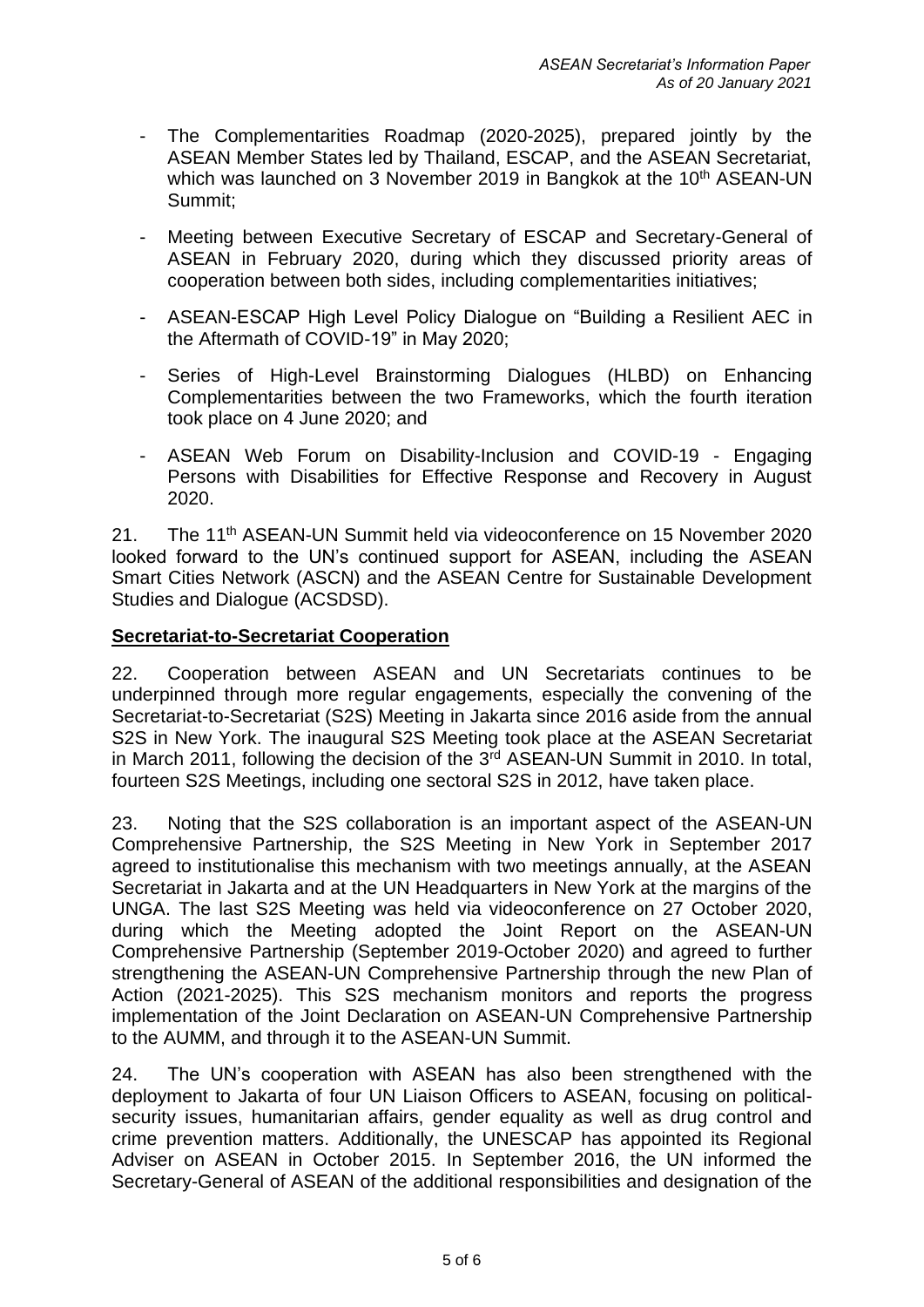- The Complementarities Roadmap (2020-2025), prepared jointly by the ASEAN Member States led by Thailand, ESCAP, and the ASEAN Secretariat, which was launched on 3 November 2019 in Bangkok at the 10<sup>th</sup> ASEAN-UN Summit;
- Meeting between Executive Secretary of ESCAP and Secretary-General of ASEAN in February 2020, during which they discussed priority areas of cooperation between both sides, including complementarities initiatives;
- ASEAN-ESCAP High Level Policy Dialogue on "Building a Resilient AEC in the Aftermath of COVID-19" in May 2020;
- Series of High-Level Brainstorming Dialogues (HLBD) on Enhancing Complementarities between the two Frameworks, which the fourth iteration took place on 4 June 2020; and
- ASEAN Web Forum on Disability-Inclusion and COVID-19 Engaging Persons with Disabilities for Effective Response and Recovery in August 2020.

21. The 11<sup>th</sup> ASEAN-UN Summit held via videoconference on 15 November 2020 looked forward to the UN's continued support for ASEAN, including the ASEAN Smart Cities Network (ASCN) and the ASEAN Centre for Sustainable Development Studies and Dialogue (ACSDSD).

### **Secretariat-to-Secretariat Cooperation**

22. Cooperation between ASEAN and UN Secretariats continues to be underpinned through more regular engagements, especially the convening of the Secretariat-to-Secretariat (S2S) Meeting in Jakarta since 2016 aside from the annual S2S in New York. The inaugural S2S Meeting took place at the ASEAN Secretariat in March 2011, following the decision of the 3<sup>rd</sup> ASEAN-UN Summit in 2010. In total, fourteen S2S Meetings, including one sectoral S2S in 2012, have taken place.

23. Noting that the S2S collaboration is an important aspect of the ASEAN-UN Comprehensive Partnership, the S2S Meeting in New York in September 2017 agreed to institutionalise this mechanism with two meetings annually, at the ASEAN Secretariat in Jakarta and at the UN Headquarters in New York at the margins of the UNGA. The last S2S Meeting was held via videoconference on 27 October 2020, during which the Meeting adopted the Joint Report on the ASEAN-UN Comprehensive Partnership (September 2019-October 2020) and agreed to further strengthening the ASEAN-UN Comprehensive Partnership through the new Plan of Action (2021-2025). This S2S mechanism monitors and reports the progress implementation of the Joint Declaration on ASEAN-UN Comprehensive Partnership to the AUMM, and through it to the ASEAN-UN Summit.

24. The UN's cooperation with ASEAN has also been strengthened with the deployment to Jakarta of four UN Liaison Officers to ASEAN, focusing on politicalsecurity issues, humanitarian affairs, gender equality as well as drug control and crime prevention matters. Additionally, the UNESCAP has appointed its Regional Adviser on ASEAN in October 2015. In September 2016, the UN informed the Secretary-General of ASEAN of the additional responsibilities and designation of the